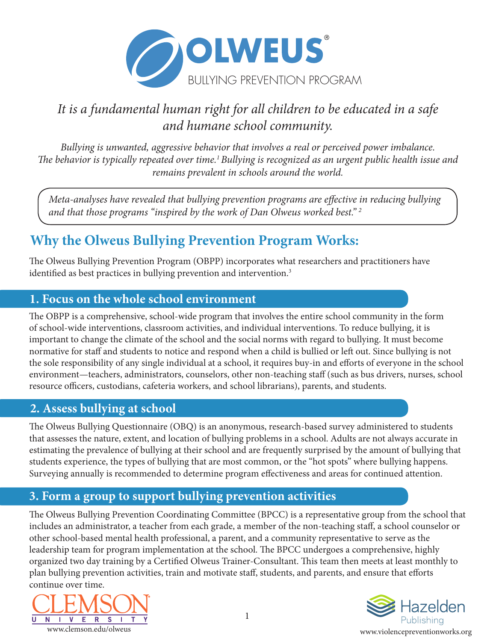

# *It is a fundamental human right for all children to be educated in a safe and humane school community.*

*Bullying is unwanted, aggressive behavior that involves a real or perceived power imbalance. The behavior is typically repeated over time.1 Bullying is recognized as an urgent public health issue and remains prevalent in schools around the world.*

*Meta-analyses have revealed that bullying prevention programs are effective in reducing bullying and that those programs "inspired by the work of Dan Olweus worked best." 2*

# **Why the Olweus Bullying Prevention Program Works:**

The Olweus Bullying Prevention Program (OBPP) incorporates what researchers and practitioners have identified as best practices in bullying prevention and intervention.<sup>3</sup>

#### **1. Focus on the whole school environment**

The OBPP is a comprehensive, school-wide program that involves the entire school community in the form of school-wide interventions, classroom activities, and individual interventions. To reduce bullying, it is important to change the climate of the school and the social norms with regard to bullying. It must become normative for staff and students to notice and respond when a child is bullied or left out. Since bullying is not the sole responsibility of any single individual at a school, it requires buy-in and efforts of everyone in the school environment—teachers, administrators, counselors, other non-teaching staff (such as bus drivers, nurses, school resource officers, custodians, cafeteria workers, and school librarians), parents, and students.

## **2. Assess bullying at school**

The Olweus Bullying Questionnaire (OBQ) is an anonymous, research-based survey administered to students that assesses the nature, extent, and location of bullying problems in a school. Adults are not always accurate in estimating the prevalence of bullying at their school and are frequently surprised by the amount of bullying that students experience, the types of bullying that are most common, or the "hot spots" where bullying happens. Surveying annually is recommended to determine program effectiveness and areas for continued attention.

## **3. Form a group to support bullying prevention activities**

The Olweus Bullying Prevention Coordinating Committee (BPCC) is a representative group from the school that includes an administrator, a teacher from each grade, a member of the non-teaching staff, a school counselor or other school-based mental health professional, a parent, and a community representative to serve as the leadership team for program implementation at the school. The BPCC undergoes a comprehensive, highly organized two day training by a Certified Olweus Trainer-Consultant. This team then meets at least monthly to plan bullying prevention activities, train and motivate staff, students, and parents, and ensure that efforts continue over time.



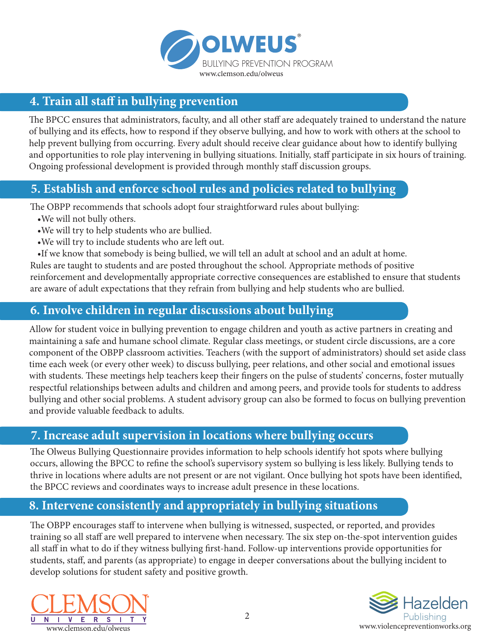

## **4. Train all staff in bullying prevention**

The BPCC ensures that administrators, faculty, and all other staff are adequately trained to understand the nature of bullying and its effects, how to respond if they observe bullying, and how to work with others at the school to help prevent bullying from occurring. Every adult should receive clear guidance about how to identify bullying and opportunities to role play intervening in bullying situations. Initially, staff participate in six hours of training. Ongoing professional development is provided through monthly staff discussion groups.

## **5. Establish and enforce school rules and policies related to bullying**

The OBPP recommends that schools adopt four straightforward rules about bullying:

- •We will not bully others.
- •We will try to help students who are bullied.
- •We will try to include students who are left out.
- •If we know that somebody is being bullied, we will tell an adult at school and an adult at home.

Rules are taught to students and are posted throughout the school. Appropriate methods of positive reinforcement and developmentally appropriate corrective consequences are established to ensure that students are aware of adult expectations that they refrain from bullying and help students who are bullied.

#### **6. Involve children in regular discussions about bullying**

Allow for student voice in bullying prevention to engage children and youth as active partners in creating and maintaining a safe and humane school climate. Regular class meetings, or student circle discussions, are a core component of the OBPP classroom activities. Teachers (with the support of administrators) should set aside class time each week (or every other week) to discuss bullying, peer relations, and other social and emotional issues with students. These meetings help teachers keep their fingers on the pulse of students' concerns, foster mutually respectful relationships between adults and children and among peers, and provide tools for students to address bullying and other social problems. A student advisory group can also be formed to focus on bullying prevention and provide valuable feedback to adults.

## **7. Increase adult supervision in locations where bullying occurs**

The Olweus Bullying Questionnaire provides information to help schools identify hot spots where bullying occurs, allowing the BPCC to refine the school's supervisory system so bullying is less likely. Bullying tends to thrive in locations where adults are not present or are not vigilant. Once bullying hot spots have been identified, the BPCC reviews and coordinates ways to increase adult presence in these locations.

## **8. Intervene consistently and appropriately in bullying situations**

The OBPP encourages staff to intervene when bullying is witnessed, suspected, or reported, and provides training so all staff are well prepared to intervene when necessary. The six step on-the-spot intervention guides all staff in what to do if they witness bullying first-hand. Follow-up interventions provide opportunities for students, staff, and parents (as appropriate) to engage in deeper conversations about the bullying incident to develop solutions for student safety and positive growth.



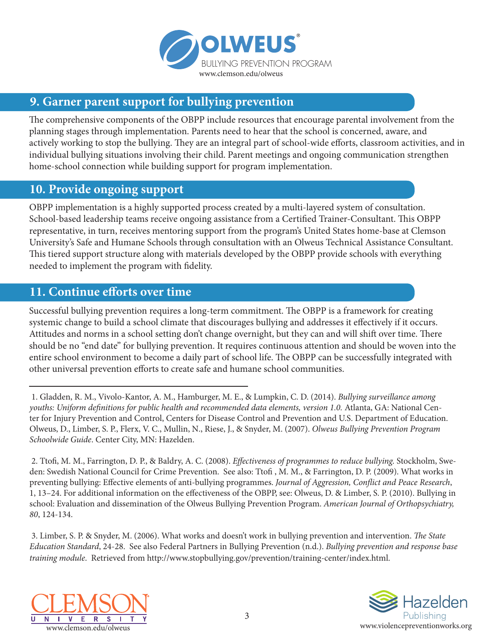

#### **9. Garner parent support for bullying prevention**

The comprehensive components of the OBPP include resources that encourage parental involvement from the planning stages through implementation. Parents need to hear that the school is concerned, aware, and actively working to stop the bullying. They are an integral part of school-wide efforts, classroom activities, and in individual bullying situations involving their child. Parent meetings and ongoing communication strengthen home-school connection while building support for program implementation.

#### **10. Provide ongoing support**

OBPP implementation is a highly supported process created by a multi-layered system of consultation. School-based leadership teams receive ongoing assistance from a Certified Trainer-Consultant. This OBPP representative, in turn, receives mentoring support from the program's United States home-base at Clemson University's Safe and Humane Schools through consultation with an Olweus Technical Assistance Consultant. This tiered support structure along with materials developed by the OBPP provide schools with everything needed to implement the program with fidelity.

#### **11. Continue efforts over time**

Successful bullying prevention requires a long-term commitment. The OBPP is a framework for creating systemic change to build a school climate that discourages bullying and addresses it effectively if it occurs. Attitudes and norms in a school setting don't change overnight, but they can and will shift over time. There should be no "end date" for bullying prevention. It requires continuous attention and should be woven into the entire school environment to become a daily part of school life. The OBPP can be successfully integrated with other universal prevention efforts to create safe and humane school communities.

 1. Gladden, R. M., Vivolo-Kantor, A. M., Hamburger, M. E., & Lumpkin, C. D. (2014). *Bullying surveillance among youths: Uniform definitions for public health and recommended data elements, version 1.0.* Atlanta, GA: National Center for Injury Prevention and Control, Centers for Disease Control and Prevention and U.S. Department of Education. Olweus, D., Limber, S. P., Flerx, V. C., Mullin, N., Riese, J., & Snyder, M. (2007). *Olweus Bullying Prevention Program Schoolwide Guide*. Center City, MN: Hazelden.

 2. Ttofi, M. M., Farrington, D. P., & Baldry, A. C. (2008). *Effectiveness of programmes to reduce bullying.* Stockholm, Sweden: Swedish National Council for Crime Prevention. See also: Ttofi, M. M., & Farrington, D. P. (2009). What works in preventing bullying: Effective elements of anti-bullying programmes. *Journal of Aggression, Conflict and Peace Research*, 1, 13–24. For additional information on the effectiveness of the OBPP, see: Olweus, D. & Limber, S. P. (2010). Bullying in school: Evaluation and dissemination of the Olweus Bullying Prevention Program. *American Journal of Orthopsychiatry, 80*, 124-134.

 3. Limber, S. P. & Snyder, M. (2006). What works and doesn't work in bullying prevention and intervention. *The State Education Standard*, 24-28. See also Federal Partners in Bullying Prevention (n.d.). *Bullying prevention and response base training module*. Retrieved from [http://www.stopbullying.gov/prevention/training-center/index.html.](http://www.stopbullying.gov/prevention/training-center/index.html)